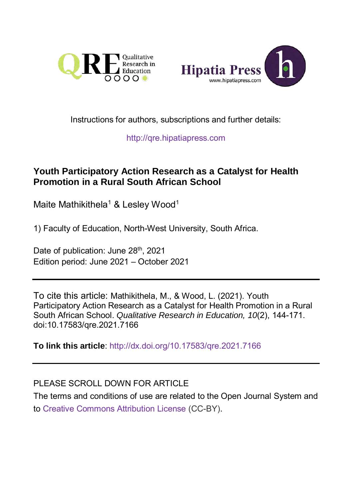



## Instructions for authors, subscriptions and further details:

[http://qre.hipatiapress.com](http://qre.hipatiapress.com/)

## **Youth Participatory Action Research as a Catalyst for Health Promotion in a Rural South African School**

Maite Mathikithela<sup>1</sup> & Lesley Wood<sup>1</sup>

1) Faculty of Education, North-West University, South Africa.

Date of publication: June 28<sup>th</sup>, 2021 Edition period: June 2021 – October 2021

To cite this article: Mathikithela, M., & Wood, L. (2021). Youth Participatory Action Research as a Catalyst for Health Promotion in a Rural South African School. *Qualitative Research in Education, 10*(2), 144-171. doi:10.17583/qre.2021.7166

**To link this article**: <http://dx.doi.org/10.17583/qre.2021.7166>

## PLEASE SCROLL DOWN FOR ARTICLE

The terms and conditions of use are related to the Open Journal System and to [Creative Commons Attribution License](http://creativecommons.org/licenses/by/4.0/) (CC-BY).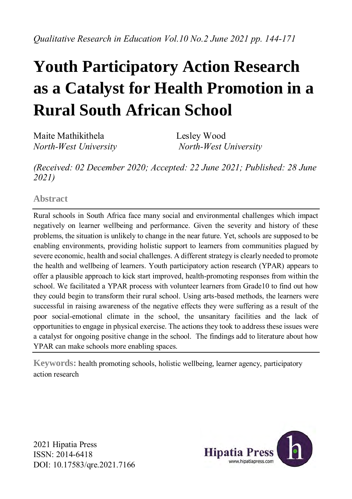## **Youth Participatory Action Research as a Catalyst for Health Promotion in a Rural South African School**

Maite Mathikithela Lesley Wood *North-West University North-West University*

*(Received: 02 December 2020; Accepted: 22 June 2021; Published: 28 June 2021)*

**Abstract**

Rural schools in South Africa face many social and environmental challenges which impact negatively on learner wellbeing and performance. Given the severity and history of these problems, the situation is unlikely to change in the near future. Yet, schools are supposed to be enabling environments, providing holistic support to learners from communities plagued by severe economic, health and social challenges. A different strategy is clearly needed to promote the health and wellbeing of learners. Youth participatory action research (YPAR) appears to offer a plausible approach to kick start improved, health-promoting responses from within the school. We facilitated a YPAR process with volunteer learners from Grade10 to find out how they could begin to transform their rural school. Using arts-based methods, the learners were successful in raising awareness of the negative effects they were suffering as a result of the poor social-emotional climate in the school, the unsanitary facilities and the lack of opportunities to engage in physical exercise. The actions they took to address these issues were a catalyst for ongoing positive change in the school. The findings add to literature about how YPAR can make schools more enabling spaces.

**Keywords:** health promoting schools, holistic wellbeing, learner agency, participatory action research

2021 Hipatia Press ISSN: 2014-6418 DOI: 10.17583/qre.2021.7166

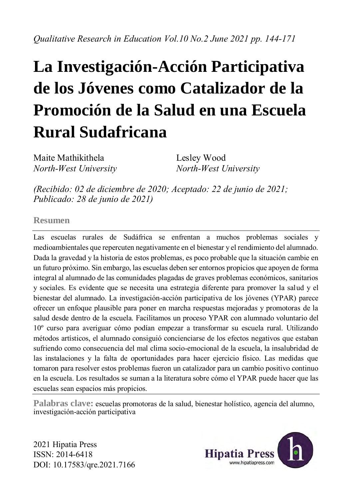# **La Investigación-Acción Participativa de los Jóvenes como Catalizador de la Promoción de la Salud en una Escuela Rural Sudafricana**

Maite Mathikithela Lesley Wood *North-West University North-West University*

*(Recibido: 02 de diciembre de 2020; Aceptado: 22 de junio de 2021; Publicado: 28 de junio de 2021)*

#### **Resumen**

Las escuelas rurales de Sudáfrica se enfrentan a muchos problemas sociales y medioambientales que repercuten negativamente en el bienestar y el rendimiento del alumnado. Dada la gravedad y la historia de estos problemas, es poco probable que la situación cambie en un futuro próximo. Sin embargo, las escuelas deben ser entornos propicios que apoyen de forma integral al alumnado de las comunidades plagadas de graves problemas económicos, sanitarios y sociales. Es evidente que se necesita una estrategia diferente para promover la salud y el bienestar del alumnado. La investigación-acción participativa de los jóvenes (YPAR) parece ofrecer un enfoque plausible para poner en marcha respuestas mejoradas y promotoras de la salud desde dentro de la escuela. Facilitamos un proceso YPAR con alumnado voluntario del 10º curso para averiguar cómo podían empezar a transformar su escuela rural. Utilizando métodos artísticos, el alumnado consiguió concienciarse de los efectos negativos que estaban sufriendo como consecuencia del mal clima socio-emocional de la escuela, la insalubridad de las instalaciones y la falta de oportunidades para hacer ejercicio físico. Las medidas que tomaron para resolver estos problemas fueron un catalizador para un cambio positivo continuo en la escuela. Los resultados se suman a la literatura sobre cómo el YPAR puede hacer que las escuelas sean espacios más propicios.

**Palabras clave:** escuelas promotoras de la salud, bienestar holístico, agencia del alumno, investigación-acción participativa

2021 Hipatia Press ISSN: 2014-6418 DOI: 10.17583/qre.2021.7166

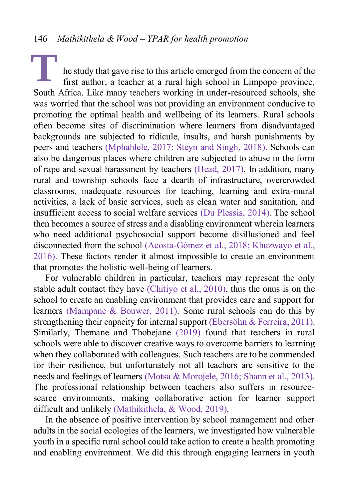he study that gave rise to this article emerged from the concern of the first author, a teacher at a rural high school in Limpopo province, South Africa. Like many teachers working in under-resourced schools, she was worried that the school was not providing an environment conducive to promoting the optimal health and wellbeing of its learners. Rural schools often become sites of discrimination where learners from disadvantaged backgrounds are subjected to ridicule, insults, and harsh punishments by peers and teachers [\(Mphahlele, 2017;](#page-25-0) [Steyn and Singh, 2018\)](#page-27-0). Schools can also be dangerous places where children are subjected to abuse in the form of rape and sexual harassment by teachers [\(Head, 2017\)](#page-24-0). In addition, many rural and township schools face a dearth of infrastructure, overcrowded classrooms, inadequate resources for teaching, learning and extra-mural activities, a lack of basic services, such as clean water and sanitation, and insufficient access to social welfare services [\(Du Plessis, 2014\)](#page-23-0). The school then becomes a source of stress and a disabling environment wherein learners who need additional psychosocial support become disillusioned and feel disconnected from the school [\(Acosta-Gómez et al., 2018;](#page-22-0) [Khuzwayo et al.,](#page-24-1)  [2016\)](#page-24-1). These factors render it almost impossible to create an environment that promotes the holistic well-being of learners. **T**

For vulnerable children in particular, teachers may represent the only stable adult contact they have [\(Chitiyo et al., 2010\)](#page-22-1), thus the onus is on the school to create an enabling environment that provides care and support for learners [\(Mampane & Bouwer, 2011\)](#page-25-1). Some rural schools can do this by strengthening their capacity for internal support [\(Ebersöhn & Ferreira, 2011\)](#page-23-1). Similarly, Themane and Thobejane [\(2019\)](#page-27-1) found that teachers in rural schools were able to discover creative ways to overcome barriers to learning when they collaborated with colleagues. Such teachers are to be commended for their resilience, but unfortunately not all teachers are sensitive to the needs and feelings of learners [\(Motsa & Morojele, 2016;](#page-25-2) [Shann et al., 2013\)](#page-27-2). The professional relationship between teachers also suffers in resourcescarce environments, making collaborative action for learner support difficult and unlikely [\(Mathikithela, & Wood, 2019\)](#page-25-2).

In the absence of positive intervention by school management and other adults in the social ecologies of the learners, we investigated how vulnerable youth in a specific rural school could take action to create a health promoting and enabling environment. We did this through engaging learners in youth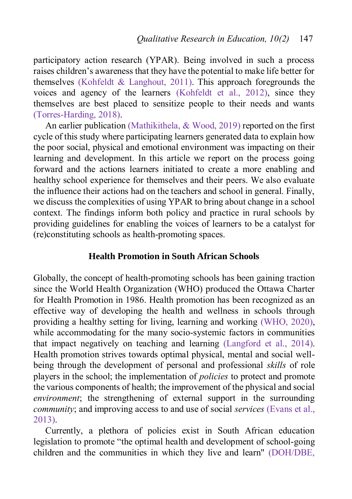participatory action research (YPAR). Being involved in such a process raises children's awareness that they have the potential to make life better for themselves [\(Kohfeldt & Langhout, 2011\)](#page-24-2). This approach foregrounds the voices and agency of the learners [\(Kohfeldt et al., 2012](#page-24-2)), since they themselves are best placed to sensitize people to their needs and wants [\(Torres-Harding, 2018\)](#page-27-3).

An earlier publication [\(Mathikithela, & Wood, 2019\)](#page-25-2) reported on the first cycle of this study where participating learners generated data to explain how the poor social, physical and emotional environment was impacting on their learning and development. In this article we report on the process going forward and the actions learners initiated to create a more enabling and healthy school experience for themselves and their peers. We also evaluate the influence their actions had on the teachers and school in general. Finally, we discuss the complexities of using YPAR to bring about change in a school context. The findings inform both policy and practice in rural schools by providing guidelines for enabling the voices of learners to be a catalyst for (re)constituting schools as health-promoting spaces.

## **Health Promotion in South African Schools**

Globally, the concept of health-promoting schools has been gaining traction since the World Health Organization (WHO) produced the Ottawa Charter for Health Promotion in 1986. Health promotion has been recognized as an effective way of developing the health and wellness in schools through providing a healthy setting for living, learning and working [\(WHO, 2020\)](#page-28-0), while accommodating for the many socio-systemic factors in communities that impact negatively on teaching and learning [\(Langford et al., 2014\)](#page-24-3). Health promotion strives towards optimal physical, mental and social wellbeing through the development of personal and professional *skills* of role players in the school; the implementation of *policies* to protect and promote the various components of health; the improvement of the physical and social *environment*; the strengthening of external support in the surrounding *community*; and improving access to and use of social *services* [\(Evans et al.,](#page-23-2)  [2013\)](#page-23-2).

Currently, a plethora of policies exist in South African education legislation to promote "the optimal health and development of school-going children and the communities in which they live and learn" [\(DOH/DBE,](#page-23-3)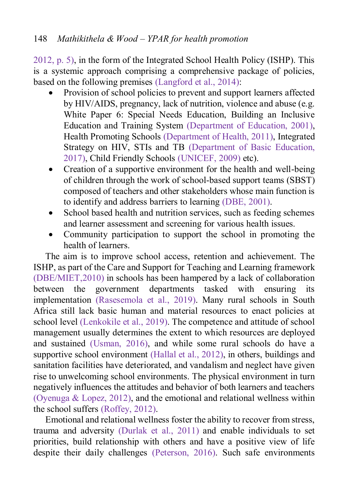[2012, p. 5\)](#page-23-3), in the form of the Integrated School Health Policy (ISHP). This is a systemic approach comprising a comprehensive package of policies, based on the following premises [\(Langford et al., 2014\)](#page-24-3):

- Provision of school policies to prevent and support learners affected by HIV/AIDS, pregnancy, lack of nutrition, violence and abuse (e.g. White Paper 6: Special Needs Education, Building an Inclusive Education and Training System [\(Department of Education, 2001\)](#page-23-4), Health Promoting Schools [\(Department of Health, 2011\)](#page-23-5), Integrated Strategy on HIV, STIs and TB [\(Department of Basic Education,](#page-23-6)  [2017\)](#page-23-6), Child Friendly Schools [\(UNICEF, 2009\)](#page-27-4) etc).
- Creation of a supportive environment for the health and well-being of children through the work of school-based support teams (SBST) composed of teachers and other stakeholders whose main function is to identify and address barriers to learning [\(DBE, 2001\)](#page-23-4).
- School based health and nutrition services, such as feeding schemes and learner assessment and screening for various health issues.
- Community participation to support the school in promoting the health of learners.

The aim is to improve school access, retention and achievement. The ISHP, as part of the Care and Support for Teaching and Learning framework [\(DBE/MIET,2010\)](#page-23-7) in schools has been hampered by a lack of collaboration between the government departments tasked with ensuring its implementation [\(Rasesemola et al., 2019\)](#page-27-5). Many rural schools in South Africa still lack basic human and material resources to enact policies at school level [\(Lenkokile et al., 2019\)](#page-24-4). The competence and attitude of school management usually determines the extent to which resources are deployed and sustained [\(Usman, 2016\)](#page-28-1), and while some rural schools do have a supportive school environment [\(Hallal et al., 2012\)](#page-24-5), in others, buildings and sanitation facilities have deteriorated, and vandalism and neglect have given rise to unwelcoming school environments. The physical environment in turn negatively influences the attitudes and behavior of both learners and teachers [\(Oyenuga & Lopez, 2012\)](#page-26-0), and the emotional and relational wellness within the school suffers [\(Roffey, 2012\)](#page-27-6).

Emotional and relational wellness foster the ability to recover from stress, trauma and adversity [\(Durlak et al., 2011\)](#page-23-8) and enable individuals to set priorities, build relationship with others and have a positive view of life despite their daily challenges [\(Peterson, 2016\)](#page-26-1). Such safe environments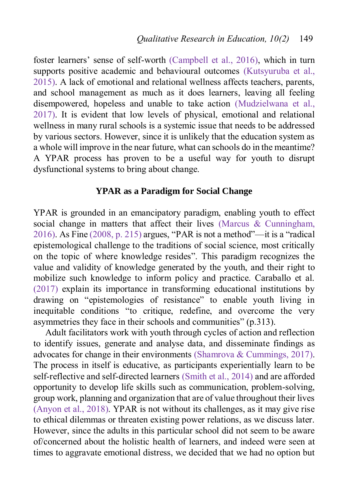foster learners' sense of self-worth [\(Campbell et al., 2016\)](#page-22-2), which in turn supports positive academic and behavioural outcomes [\(Kutsyuruba et al.,](#page-24-6)  [2015\)](#page-24-6). A lack of emotional and relational wellness affects teachers, parents, and school management as much as it does learners, leaving all feeling disempowered, hopeless and unable to take action [\(Mudzielwana et al.,](#page-25-3)  [2017\)](#page-25-3). It is evident that low levels of physical, emotional and relational wellness in many rural schools is a systemic issue that needs to be addressed by various sectors. However, since it is unlikely that the education system as a whole will improve in the near future, what can schools do in the meantime? A YPAR process has proven to be a useful way for youth to disrupt dysfunctional systems to bring about change.

## **YPAR as a Paradigm for Social Change**

YPAR is grounded in an emancipatory paradigm, enabling youth to effect social change in matters that affect their lives [\(Marcus & Cunningham,](#page-25-4)  [2016\)](#page-25-4). As Fine [\(2008, p. 215\)](#page-23-9) argues, "PAR is not a method"—it is a "radical epistemological challenge to the traditions of social science, most critically on the topic of where knowledge resides". This paradigm recognizes the value and validity of knowledge generated by the youth, and their right to mobilize such knowledge to inform policy and practice. Caraballo et al. [\(2017\)](#page-22-3) explain its importance in transforming educational institutions by drawing on "epistemologies of resistance" to enable youth living in inequitable conditions "to critique, redefine, and overcome the very asymmetries they face in their schools and communities" (p.313).

Adult facilitators work with youth through cycles of action and reflection to identify issues, generate and analyse data, and disseminate findings as advocates for change in their environments [\(Shamrova & Cummings, 2017\)](#page-27-7). The process in itself is educative, as participants experientially learn to be self-reflective and self-directed learners [\(Smith et al., 2014\)](#page-27-8) and are afforded opportunity to develop life skills such as communication, problem-solving, group work, planning and organization that are of value throughout their lives [\(Anyon et al., 2018\)](#page-22-4). YPAR is not without its challenges, as it may give rise to ethical dilemmas or threaten existing power relations, as we discuss later. However, since the adults in this particular school did not seem to be aware of/concerned about the holistic health of learners, and indeed were seen at times to aggravate emotional distress, we decided that we had no option but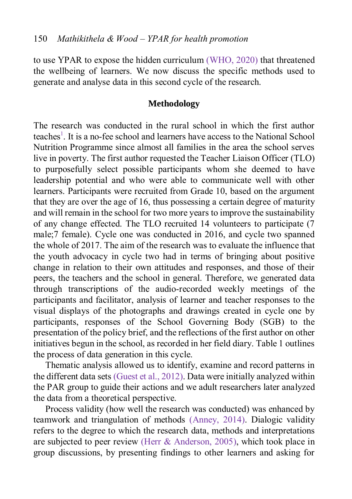to use YPAR to expose the hidden curriculum [\(WHO, 2020\)](#page-28-0) that threatened the wellbeing of learners. We now discuss the specific methods used to generate and analyse data in this second cycle of the research.

#### **Methodology**

The research was conducted in the rural school in which the first author teaches<sup>1</sup>[.](#page-21-0) It is a no-fee school and learners have access to the National School Nutrition Programme since almost all families in the area the school serves live in poverty. The first author requested the Teacher Liaison Officer (TLO) to purposefully select possible participants whom she deemed to have leadership potential and who were able to communicate well with other learners. Participants were recruited from Grade 10, based on the argument that they are over the age of 16, thus possessing a certain degree of maturity and will remain in the school for two more years to improve the sustainability of any change effected. The TLO recruited 14 volunteers to participate (7 male;7 female). Cycle one was conducted in 2016, and cycle two spanned the whole of 2017. The aim of the research was to evaluate the influence that the youth advocacy in cycle two had in terms of bringing about positive change in relation to their own attitudes and responses, and those of their peers, the teachers and the school in general. Therefore, we generated data through transcriptions of the audio-recorded weekly meetings of the participants and facilitator, analysis of learner and teacher responses to the visual displays of the photographs and drawings created in cycle one by participants, responses of the School Governing Body (SGB) to the presentation of the policy brief, and the reflections of the first author on other initiatives begun in the school, as recorded in her field diary. Table 1 outlines the process of data generation in this cycle.

Thematic analysis allowed us to identify, examine and record patterns in the different data sets [\(Guest et al., 2012\)](#page-24-7). Data were initially analyzed within the PAR group to guide their actions and we adult researchers later analyzed the data from a theoretical perspective.

Process validity (how well the research was conducted) was enhanced by teamwork and triangulation of methods [\(Anney, 2014\)](#page-22-5). Dialogic validity refers to the degree to which the research data, methods and interpretations are subjected to peer review [\(Herr & Anderson, 2005\)](#page-24-8), which took place in group discussions, by presenting findings to other learners and asking for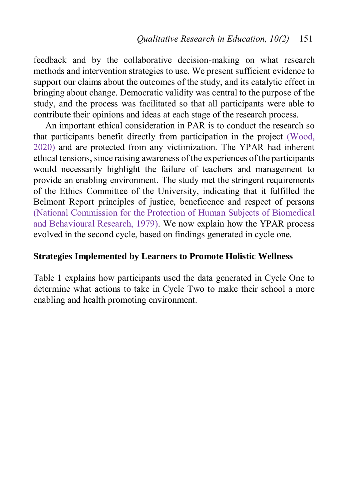feedback and by the collaborative decision-making on what research methods and intervention strategies to use. We present sufficient evidence to support our claims about the outcomes of the study, and its catalytic effect in bringing about change. Democratic validity was central to the purpose of the study, and the process was facilitated so that all participants were able to contribute their opinions and ideas at each stage of the research process.

An important ethical consideration in PAR is to conduct the research so that participants benefit directly from participation in the project [\(Wood,](#page-28-2)  [2020\)](#page-28-2) and are protected from any victimization. The YPAR had inherent ethical tensions, since raising awareness of the experiences of the participants would necessarily highlight the failure of teachers and management to provide an enabling environment. The study met the stringent requirements of the Ethics Committee of the University, indicating that it fulfilled the Belmont Report principles of justice, beneficence and respect of persons [\(National Commission for the Protection of Human Subjects of Biomedical](#page-26-2)  [and Behavioural Research, 1979\)](#page-26-2). We now explain how the YPAR process evolved in the second cycle, based on findings generated in cycle one.

## **Strategies Implemented by Learners to Promote Holistic Wellness**

Table 1 explains how participants used the data generated in Cycle One to determine what actions to take in Cycle Two to make their school a more enabling and health promoting environment.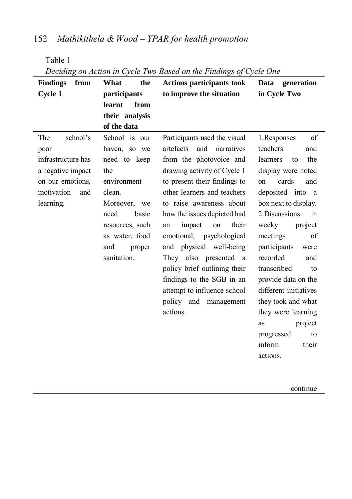Table 1

| <b>Findings</b><br>from | What<br>the     | <b>Actions participants took</b> | Data<br>generation             |  |
|-------------------------|-----------------|----------------------------------|--------------------------------|--|
| Cycle 1                 | participants    | to improve the situation         | in Cycle Two                   |  |
|                         | learnt<br>from  |                                  |                                |  |
|                         | their analysis  |                                  |                                |  |
|                         | of the data     |                                  |                                |  |
| The<br>school's         | School is our   | Participants used the visual     | 1. Responses<br>of             |  |
| poor                    | haven, so we    | artefacts<br>and<br>narratives   | teachers<br>and                |  |
| infrastructure has      | need to keep    | from the photovoice and          | the<br>learners<br>to          |  |
| a negative impact       | the             | drawing activity of Cycle 1      | display were noted             |  |
| on our emotions,        | environment     | to present their findings to     | cards<br>and<br>on             |  |
| motivation<br>and       | clean.          | other learners and teachers      | deposited into<br><sub>a</sub> |  |
| learning.               | Moreover, we    | to raise awareness about         | box next to display.           |  |
|                         | need<br>basic   | how the issues depicted had      | 2. Discussions<br>in           |  |
|                         | resources, such | their<br>impact<br>on<br>an      | weeky<br>project               |  |
|                         | as water, food  | emotional, psychological         | meetings<br>of                 |  |
|                         | and<br>proper   | and physical well-being          | participants<br>were           |  |
|                         | sanitation.     | They also presented a            | recorded<br>and                |  |
|                         |                 | policy brief outlining their     | transcribed<br>to              |  |
|                         |                 | findings to the SGB in an        | provide data on the            |  |
|                         |                 | attempt to influence school      | different initiatives          |  |
|                         |                 | policy and management            | they took and what             |  |
|                         |                 | actions.                         | they were learning             |  |
|                         |                 |                                  | project<br>as                  |  |
|                         |                 |                                  | progressed<br>to               |  |
|                         |                 |                                  | inform<br>their                |  |
|                         |                 |                                  | actions.                       |  |
|                         |                 |                                  |                                |  |
|                         |                 |                                  |                                |  |

|  | Deciding on Action in Cycle Two Based on the Findings of Cycle One |  |  |  |
|--|--------------------------------------------------------------------|--|--|--|
|--|--------------------------------------------------------------------|--|--|--|

continue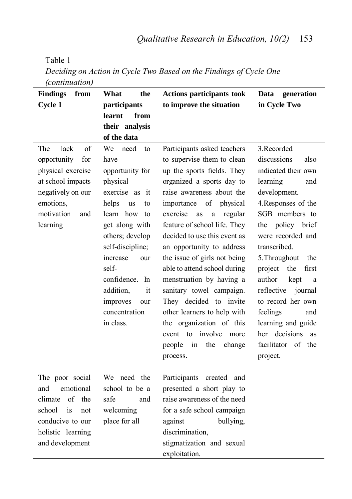| (continuation)          |                          |                                |                            |  |
|-------------------------|--------------------------|--------------------------------|----------------------------|--|
| <b>Findings</b><br>from | What<br>the              | Actions participants took      | Data<br>generation         |  |
| Cycle 1                 | participants             | to improve the situation       | in Cycle Two               |  |
|                         | learnt<br>from           |                                |                            |  |
|                         | their analysis           |                                |                            |  |
|                         | of the data              |                                |                            |  |
| lack<br>The<br>of       | We<br>need<br>to         | Participants asked teachers    | 3. Recorded                |  |
| opportunity<br>for      | have                     | to supervise them to clean     | discussions<br>also        |  |
| physical exercise       | opportunity for          | up the sports fields. They     | indicated their own        |  |
| at school impacts       | physical                 | organized a sports day to      | learning<br>and            |  |
| negatively on our       | exercise as<br>it        | raise awareness about the      | development.               |  |
| emotions,               | helps<br><b>us</b><br>to | importance<br>of<br>physical   | 4. Responses of the        |  |
| motivation<br>and       | learn how<br>to          | exercise<br>as<br>a<br>regular | SGB members to             |  |
| learning                | get along with           | feature of school life. They   | policy brief<br>the        |  |
|                         | others; develop          | decided to use this event as   | were recorded and          |  |
|                         | self-discipline;         | an opportunity to address      | transcribed.               |  |
|                         | increase<br>our          | the issue of girls not being   | 5. Throughout<br>the       |  |
|                         | self-                    | able to attend school during   | project<br>the<br>first    |  |
|                         | confidence.<br>In        | menstruation by having a       | author<br>kept<br>a        |  |
|                         | addition,<br>it          | sanitary towel campaign.       | reflective<br>journal      |  |
|                         | improves<br>our          | They decided to invite         | to record her own          |  |
|                         | concentration            | other learners to help with    | feelings<br>and            |  |
|                         | in class.                | the organization of this       | learning and guide         |  |
|                         |                          | event to involve more          | her decisions<br><b>as</b> |  |
|                         |                          | the<br>people<br>in<br>change  | facilitator<br>of the      |  |
|                         |                          | process.                       | project.                   |  |
|                         |                          |                                |                            |  |
| The poor social         | We need the              | Participants created and       |                            |  |
| and<br>emotional        | school to be a           | presented a short play to      |                            |  |
| of<br>the<br>climate    | safe<br>and              | raise awareness of the need    |                            |  |
| school<br>is<br>not     | welcoming                | for a safe school campaign     |                            |  |
| conducive to our        | place for all            | bullying,<br>against           |                            |  |
| holistic learning       |                          | discrimination.                |                            |  |
| and development         |                          | stigmatization and sexual      |                            |  |

exploitation.

Table 1 *Deciding on Action in Cycle Two Based on the Findings of Cycle One*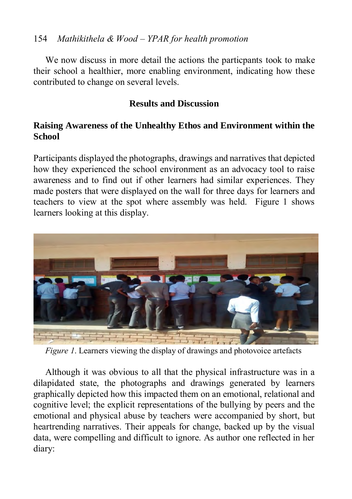## 154 *Mathikithela & Wood – YPAR for health promotion*

We now discuss in more detail the actions the particpants took to make their school a healthier, more enabling environment, indicating how these contributed to change on several levels.

## **Results and Discussion**

## **Raising Awareness of the Unhealthy Ethos and Environment within the School**

Participants displayed the photographs, drawings and narratives that depicted how they experienced the school environment as an advocacy tool to raise awareness and to find out if other learners had similar experiences. They made posters that were displayed on the wall for three days for learners and teachers to view at the spot where assembly was held. Figure 1 shows learners looking at this display.



*Figure 1*. Learners viewing the display of drawings and photovoice artefacts

Although it was obvious to all that the physical infrastructure was in a dilapidated state, the photographs and drawings generated by learners graphically depicted how this impacted them on an emotional, relational and cognitive level; the explicit representations of the bullying by peers and the emotional and physical abuse by teachers were accompanied by short, but heartrending narratives. Their appeals for change, backed up by the visual data, were compelling and difficult to ignore. As author one reflected in her diary: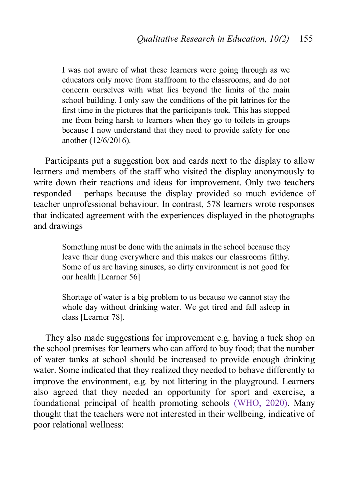I was not aware of what these learners were going through as we educators only move from staffroom to the classrooms, and do not concern ourselves with what lies beyond the limits of the main school building. I only saw the conditions of the pit latrines for the first time in the pictures that the participants took. This has stopped me from being harsh to learners when they go to toilets in groups because I now understand that they need to provide safety for one another (12/6/2016).

Participants put a suggestion box and cards next to the display to allow learners and members of the staff who visited the display anonymously to write down their reactions and ideas for improvement. Only two teachers responded – perhaps because the display provided so much evidence of teacher unprofessional behaviour. In contrast, 578 learners wrote responses that indicated agreement with the experiences displayed in the photographs and drawings

> Something must be done with the animals in the school because they leave their dung everywhere and this makes our classrooms filthy. Some of us are having sinuses, so dirty environment is not good for our health [Learner 56]

> Shortage of water is a big problem to us because we cannot stay the whole day without drinking water. We get tired and fall asleep in class [Learner 78].

They also made suggestions for improvement e.g. having a tuck shop on the school premises for learners who can afford to buy food; that the number of water tanks at school should be increased to provide enough drinking water. Some indicated that they realized they needed to behave differently to improve the environment, e.g. by not littering in the playground. Learners also agreed that they needed an opportunity for sport and exercise, a foundational principal of health promoting schools [\(WHO, 2020\)](#page-28-0). Many thought that the teachers were not interested in their wellbeing, indicative of poor relational wellness: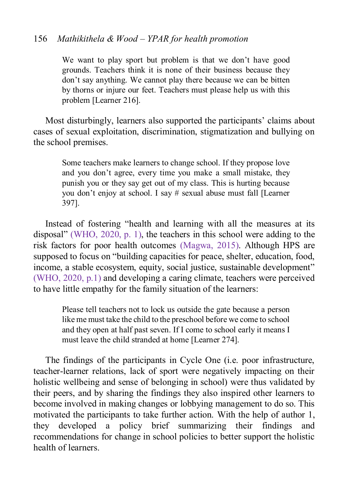#### 156 *Mathikithela & Wood – YPAR for health promotion*

We want to play sport but problem is that we don't have good grounds. Teachers think it is none of their business because they don't say anything. We cannot play there because we can be bitten by thorns or injure our feet. Teachers must please help us with this problem [Learner 216].

Most disturbingly, learners also supported the participants' claims about cases of sexual exploitation, discrimination, stigmatization and bullying on the school premises.

> Some teachers make learners to change school. If they propose love and you don't agree, every time you make a small mistake, they punish you or they say get out of my class. This is hurting because you don't enjoy at school. I say # sexual abuse must fall [Learner 397].

Instead of fostering "health and learning with all the measures at its disposal" [\(WHO, 2020, p. 1\)](#page-28-0), the teachers in this school were adding to the risk factors for poor health outcomes [\(Magwa, 2015\)](#page-25-5). Although HPS are supposed to focus on "building capacities for peace, shelter, education, food, income, a stable ecosystem, equity, social justice, sustainable development" [\(WHO, 2020, p.1\)](#page-28-0) and developing a caring climate, teachers were perceived to have little empathy for the family situation of the learners:

> Please tell teachers not to lock us outside the gate because a person like me must take the child to the preschool before we come to school and they open at half past seven. If I come to school early it means I must leave the child stranded at home [Learner 274].

The findings of the participants in Cycle One (i.e. poor infrastructure, teacher-learner relations, lack of sport were negatively impacting on their holistic wellbeing and sense of belonging in school) were thus validated by their peers, and by sharing the findings they also inspired other learners to become involved in making changes or lobbying management to do so. This motivated the participants to take further action. With the help of author 1, they developed a policy brief summarizing their findings and recommendations for change in school policies to better support the holistic health of learners.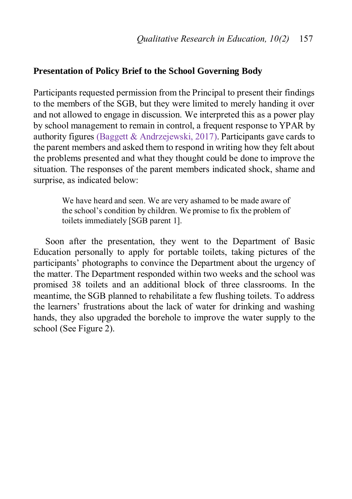#### **Presentation of Policy Brief to the School Governing Body**

Participants requested permission from the Principal to present their findings to the members of the SGB, but they were limited to merely handing it over and not allowed to engage in discussion. We interpreted this as a power play by school management to remain in control, a frequent response to YPAR by authority figures [\(Baggett & Andrzejewski, 2017\)](#page-22-6). Participants gave cards to the parent members and asked them to respond in writing how they felt about the problems presented and what they thought could be done to improve the situation. The responses of the parent members indicated shock, shame and surprise, as indicated below:

> We have heard and seen. We are very ashamed to be made aware of the school's condition by children. We promise to fix the problem of toilets immediately [SGB parent 1].

Soon after the presentation, they went to the Department of Basic Education personally to apply for portable toilets, taking pictures of the participants' photographs to convince the Department about the urgency of the matter. The Department responded within two weeks and the school was promised 38 toilets and an additional block of three classrooms. In the meantime, the SGB planned to rehabilitate a few flushing toilets. To address the learners' frustrations about the lack of water for drinking and washing hands, they also upgraded the borehole to improve the water supply to the school (See Figure 2).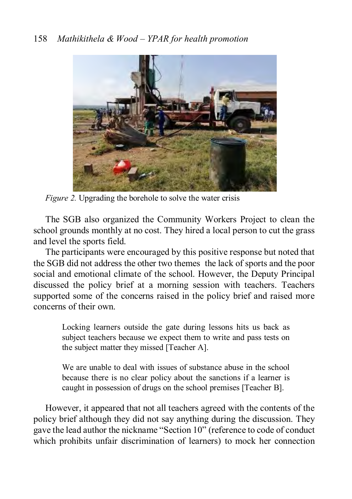

*Figure 2.* Upgrading the borehole to solve the water crisis

The SGB also organized the Community Workers Project to clean the school grounds monthly at no cost. They hired a local person to cut the grass and level the sports field.

The participants were encouraged by this positive response but noted that the SGB did not address the other two themes the lack of sports and the poor social and emotional climate of the school. However, the Deputy Principal discussed the policy brief at a morning session with teachers. Teachers supported some of the concerns raised in the policy brief and raised more concerns of their own.

> Locking learners outside the gate during lessons hits us back as subject teachers because we expect them to write and pass tests on the subject matter they missed [Teacher A].

> We are unable to deal with issues of substance abuse in the school because there is no clear policy about the sanctions if a learner is caught in possession of drugs on the school premises [Teacher B].

However, it appeared that not all teachers agreed with the contents of the policy brief although they did not say anything during the discussion. They gave the lead author the nickname "Section 10" (reference to code of conduct which prohibits unfair discrimination of learners) to mock her connection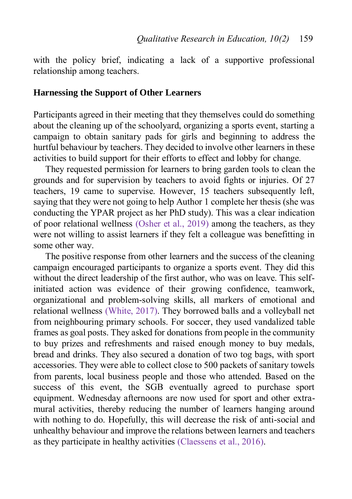with the policy brief, indicating a lack of a supportive professional relationship among teachers.

## **Harnessing the Support of Other Learners**

Participants agreed in their meeting that they themselves could do something about the cleaning up of the schoolyard, organizing a sports event, starting a campaign to obtain sanitary pads for girls and beginning to address the hurtful behaviour by teachers. They decided to involve other learners in these activities to build support for their efforts to effect and lobby for change.

They requested permission for learners to bring garden tools to clean the grounds and for supervision by teachers to avoid fights or injuries. Of 27 teachers, 19 came to supervise. However, 15 teachers subsequently left, saying that they were not going to help Author 1 complete her thesis (she was conducting the YPAR project as her PhD study). This was a clear indication of poor relational wellness [\(Osher et al., 2019\)](#page-26-3) among the teachers, as they were not willing to assist learners if they felt a colleague was benefitting in some other way.

The positive response from other learners and the success of the cleaning campaign encouraged participants to organize a sports event. They did this without the direct leadership of the first author, who was on leave. This selfinitiated action was evidence of their growing confidence, teamwork, organizational and problem-solving skills, all markers of emotional and relational wellness [\(White, 2017\)](#page-28-3). They borrowed balls and a volleyball net from neighbouring primary schools. For soccer, they used vandalized table frames as goal posts. They asked for donations from people in the community to buy prizes and refreshments and raised enough money to buy medals, bread and drinks. They also secured a donation of two tog bags, with sport accessories. They were able to collect close to 500 packets of sanitary towels from parents, local business people and those who attended. Based on the success of this event, the SGB eventually agreed to purchase sport equipment. Wednesday afternoons are now used for sport and other extramural activities, thereby reducing the number of learners hanging around with nothing to do. Hopefully, this will decrease the risk of anti-social and unhealthy behaviour and improve the relations between learners and teachers as they participate in healthy activities [\(Claessens et al., 2016\)](#page-22-7).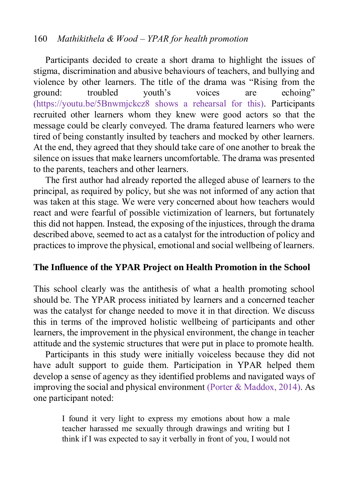## 160 *Mathikithela & Wood – YPAR for health promotion*

Participants decided to create a short drama to highlight the issues of stigma, discrimination and abusive behaviours of teachers, and bullying and violence by other learners. The title of the drama was "Rising from the ground: troubled youth's voices are echoing" [\(https://youtu.be/5Bnwmjckcz8](https://youtu.be/5Bnwmjckcz8) shows a rehearsal for this). Participants recruited other learners whom they knew were good actors so that the message could be clearly conveyed. The drama featured learners who were tired of being constantly insulted by teachers and mocked by other learners. At the end, they agreed that they should take care of one another to break the silence on issues that make learners uncomfortable. The drama was presented to the parents, teachers and other learners.

The first author had already reported the alleged abuse of learners to the principal, as required by policy, but she was not informed of any action that was taken at this stage. We were very concerned about how teachers would react and were fearful of possible victimization of learners, but fortunately this did not happen. Instead, the exposing of the injustices, through the drama described above, seemed to act as a catalyst for the introduction of policy and practices to improve the physical, emotional and social wellbeing of learners.

#### **The Influence of the YPAR Project on Health Promotion in the School**

This school clearly was the antithesis of what a health promoting school should be. The YPAR process initiated by learners and a concerned teacher was the catalyst for change needed to move it in that direction. We discuss this in terms of the improved holistic wellbeing of participants and other learners, the improvement in the physical environment, the change in teacher attitude and the systemic structures that were put in place to promote health.

Participants in this study were initially voiceless because they did not have adult support to guide them. Participation in YPAR helped them develop a sense of agency as they identified problems and navigated ways of improving the social and physical environment [\(Porter & Maddox, 2014\)](#page-26-4). As one participant noted:

> I found it very light to express my emotions about how a male teacher harassed me sexually through drawings and writing but I think if I was expected to say it verbally in front of you, I would not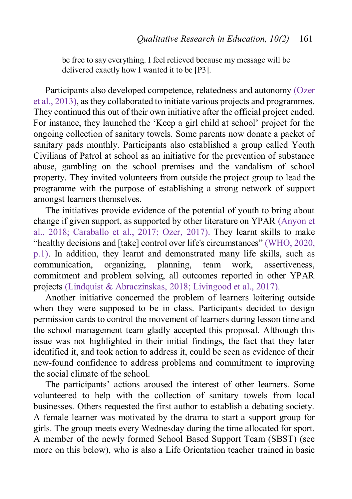be free to say everything. I feel relieved because my message will be delivered exactly how I wanted it to be [P3].

Participants also developed competence, relatedness and autonomy [\(Ozer](#page-26-5)  [et al., 2013\)](#page-26-5), as they collaborated to initiate various projects and programmes. They continued this out of their own initiative after the official project ended. For instance, they launched the 'Keep a girl child at school' project for the ongoing collection of sanitary towels. Some parents now donate a packet of sanitary pads monthly. Participants also established a group called Youth Civilians of Patrol at school as an initiative for the prevention of substance abuse, gambling on the school premises and the vandalism of school property. They invited volunteers from outside the project group to lead the programme with the purpose of establishing a strong network of support amongst learners themselves.

The initiatives provide evidence of the potential of youth to bring about change if given support, as supported by other literature on YPAR [\(Anyon et](#page-22-4)  [al., 2018;](#page-22-4) [Caraballo et al., 2017;](#page-22-3) [Ozer, 2017\)](#page-26-6). They learnt skills to make "healthy decisions and [take] control over life's circumstances" [\(WHO, 2020,](#page-28-0)  [p.1\)](#page-28-0). In addition, they learnt and demonstrated many life skills, such as communication, organizing, planning, team work, assertiveness, commitment and problem solving, all outcomes reported in other YPAR projects [\(Lindquist & Abraczinskas, 2018](#page-25-6)[; Livingood et al., 2017\)](#page-25-7).

Another initiative concerned the problem of learners loitering outside when they were supposed to be in class. Participants decided to design permission cards to control the movement of learners during lesson time and the school management team gladly accepted this proposal. Although this issue was not highlighted in their initial findings, the fact that they later identified it, and took action to address it, could be seen as evidence of their new-found confidence to address problems and commitment to improving the social climate of the school.

The participants' actions aroused the interest of other learners. Some volunteered to help with the collection of sanitary towels from local businesses. Others requested the first author to establish a debating society. A female learner was motivated by the drama to start a support group for girls. The group meets every Wednesday during the time allocated for sport. A member of the newly formed School Based Support Team (SBST) (see more on this below), who is also a Life Orientation teacher trained in basic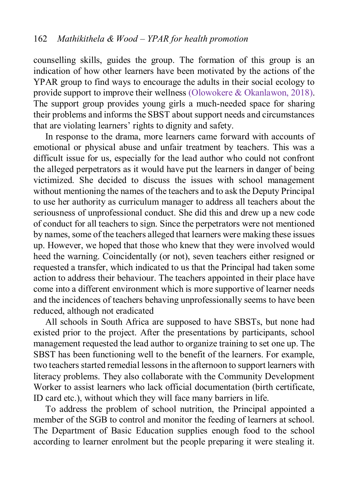counselling skills, guides the group. The formation of this group is an indication of how other learners have been motivated by the actions of the YPAR group to find ways to encourage the adults in their social ecology to provide support to improve their wellness [\(Olowokere & Okanlawon, 2018\)](#page-26-7). The support group provides young girls a much-needed space for sharing their problems and informs the SBST about support needs and circumstances that are violating learners' rights to dignity and safety.

In response to the drama, more learners came forward with accounts of emotional or physical abuse and unfair treatment by teachers. This was a difficult issue for us, especially for the lead author who could not confront the alleged perpetrators as it would have put the learners in danger of being victimized. She decided to discuss the issues with school management without mentioning the names of the teachers and to ask the Deputy Principal to use her authority as curriculum manager to address all teachers about the seriousness of unprofessional conduct. She did this and drew up a new code of conduct for all teachers to sign. Since the perpetrators were not mentioned by names, some of the teachers alleged that learners were making these issues up. However, we hoped that those who knew that they were involved would heed the warning. Coincidentally (or not), seven teachers either resigned or requested a transfer, which indicated to us that the Principal had taken some action to address their behaviour. The teachers appointed in their place have come into a different environment which is more supportive of learner needs and the incidences of teachers behaving unprofessionally seems to have been reduced, although not eradicated

All schools in South Africa are supposed to have SBSTs, but none had existed prior to the project. After the presentations by participants, school management requested the lead author to organize training to set one up. The SBST has been functioning well to the benefit of the learners. For example, two teachers started remedial lessons in the afternoon to support learners with literacy problems. They also collaborate with the Community Development Worker to assist learners who lack official documentation (birth certificate, ID card etc.), without which they will face many barriers in life.

To address the problem of school nutrition, the Principal appointed a member of the SGB to control and monitor the feeding of learners at school. The Department of Basic Education supplies enough food to the school according to learner enrolment but the people preparing it were stealing it.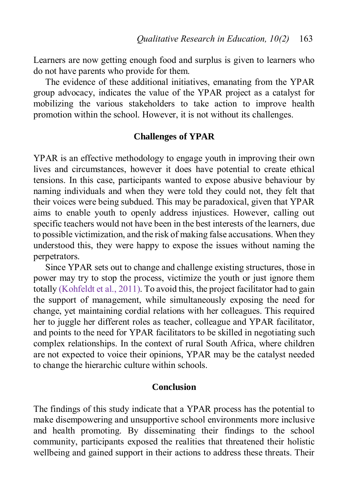Learners are now getting enough food and surplus is given to learners who do not have parents who provide for them.

The evidence of these additional initiatives, emanating from the YPAR group advocacy, indicates the value of the YPAR project as a catalyst for mobilizing the various stakeholders to take action to improve health promotion within the school. However, it is not without its challenges.

#### **Challenges of YPAR**

YPAR is an effective methodology to engage youth in improving their own lives and circumstances, however it does have potential to create ethical tensions. In this case, participants wanted to expose abusive behaviour by naming individuals and when they were told they could not, they felt that their voices were being subdued. This may be paradoxical, given that YPAR aims to enable youth to openly address injustices. However, calling out specific teachers would not have been in the best interests of the learners, due to possible victimization, and the risk of making false accusations. When they understood this, they were happy to expose the issues without naming the perpetrators.

Since YPAR sets out to change and challenge existing structures, those in power may try to stop the process, victimize the youth or just ignore them totally [\(Kohfeldt et al., 2011\)](#page-24-2). To avoid this, the project facilitator had to gain the support of management, while simultaneously exposing the need for change, yet maintaining cordial relations with her colleagues. This required her to juggle her different roles as teacher, colleague and YPAR facilitator, and points to the need for YPAR facilitators to be skilled in negotiating such complex relationships. In the context of rural South Africa, where children are not expected to voice their opinions, YPAR may be the catalyst needed to change the hierarchic culture within schools.

#### **Conclusion**

The findings of this study indicate that a YPAR process has the potential to make disempowering and unsupportive school environments more inclusive and health promoting. By disseminating their findings to the school community, participants exposed the realities that threatened their holistic wellbeing and gained support in their actions to address these threats. Their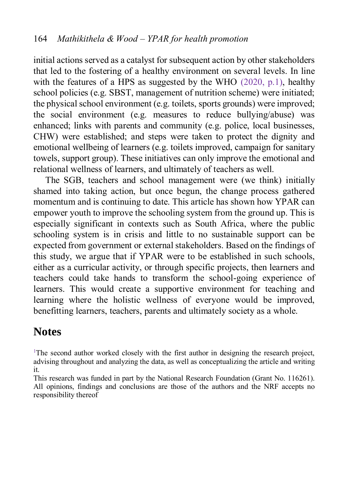initial actions served as a catalyst for subsequent action by other stakeholders that led to the fostering of a healthy environment on several levels. In line with the features of a HPS as suggested by the WHO [\(2020, p.1\)](#page-28-0), healthy school policies (e.g. SBST, management of nutrition scheme) were initiated; the physical school environment (e.g. toilets, sports grounds) were improved; the social environment (e.g. measures to reduce bullying/abuse) was enhanced; links with parents and community (e.g. police, local businesses, CHW) were established; and steps were taken to protect the dignity and emotional wellbeing of learners (e.g. toilets improved, campaign for sanitary towels, support group). These initiatives can only improve the emotional and relational wellness of learners, and ultimately of teachers as well.

The SGB, teachers and school management were (we think) initially shamed into taking action, but once begun, the change process gathered momentum and is continuing to date. This article has shown how YPAR can empower youth to improve the schooling system from the ground up. This is especially significant in contexts such as South Africa, where the public schooling system is in crisis and little to no sustainable support can be expected from government or external stakeholders. Based on the findings of this study, we argue that if YPAR were to be established in such schools, either as a curricular activity, or through specific projects, then learners and teachers could take hands to transform the school-going experience of learners. This would create a supportive environment for teaching and learning where the holistic wellness of everyone would be improved, benefitting learners, teachers, parents and ultimately society as a whole.

## **Notes**

<span id="page-21-0"></span><sup>1</sup>The second author worked closely with the first author in designing the research project, advising throughout and analyzing the data, as well as conceptualizing the article and writing it.

This research was funded in part by the National Research Foundation (Grant No. 116261). All opinions, findings and conclusions are those of the authors and the NRF accepts no responsibility thereof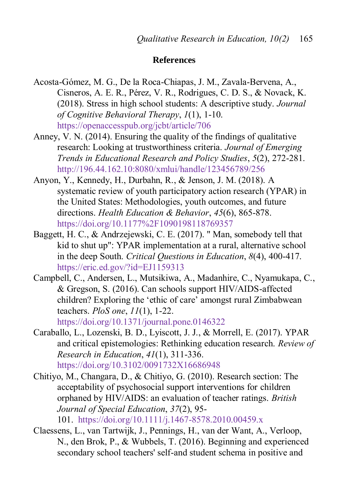#### **References**

- <span id="page-22-0"></span>Acosta-Gómez, M. G., De la Roca-Chiapas, J. M., Zavala-Bervena, A., Cisneros, A. E. R., Pérez, V. R., Rodrigues, C. D. S., & Novack, K. (2018). Stress in high school students: A descriptive study. *Journal of Cognitive Behavioral Therapy*, *1*(1), 1-10. https://openaccesspub.org/jcbt/article/706
- <span id="page-22-5"></span>Anney, V. N. (2014). Ensuring the quality of the findings of qualitative research: Looking at trustworthiness criteria. *Journal of Emerging Trends in Educational Research and Policy Studies*, *5*(2), 272-281. http://196.44.162.10:8080/xmlui/handle/123456789/256
- <span id="page-22-4"></span>Anyon, Y., Kennedy, H., Durbahn, R., & Jenson, J. M. (2018). A systematic review of youth participatory action research (YPAR) in the United States: Methodologies, youth outcomes, and future directions. *Health Education & Behavior*, *45*(6), 865-878. <https://doi.org/10.1177%2F1090198118769357>
- <span id="page-22-6"></span>Baggett, H. C., & Andrzejewski, C. E. (2017). " Man, somebody tell that kid to shut up": YPAR implementation at a rural, alternative school in the deep South. *Critical Questions in Education*, *8*(4), 400-417. https://eric.ed.gov/?id=EJ1159313
- <span id="page-22-2"></span>Campbell, C., Andersen, L., Mutsikiwa, A., Madanhire, C., Nyamukapa, C., & Gregson, S. (2016). Can schools support HIV/AIDS-affected children? Exploring the 'ethic of care' amongst rural Zimbabwean teachers. *PloS one*, *11*(1), 1-22.
	- <https://doi.org/10.1371/journal.pone.0146322>
- <span id="page-22-3"></span>Caraballo, L., Lozenski, B. D., Lyiscott, J. J., & Morrell, E. (2017). YPAR and critical epistemologies: Rethinking education research. *Review of Research in Education*, *41*(1), 311-336. [https://doi.org/10.3102/0091732X16686948](https://doi.org/10.3102%2F0091732X16686948)
- <span id="page-22-1"></span>Chitiyo, M., Changara, D., & Chitiyo, G. (2010). Research section: The acceptability of psychosocial support interventions for children orphaned by HIV/AIDS: an evaluation of teacher ratings. *British Journal of Special Education*, *37*(2), 95-
	- 101. <https://doi.org/10.1111/j.1467-8578.2010.00459.x>
- <span id="page-22-7"></span>Claessens, L., van Tartwijk, J., Pennings, H., van der Want, A., Verloop, N., den Brok, P., & Wubbels, T. (2016). Beginning and experienced secondary school teachers' self-and student schema in positive and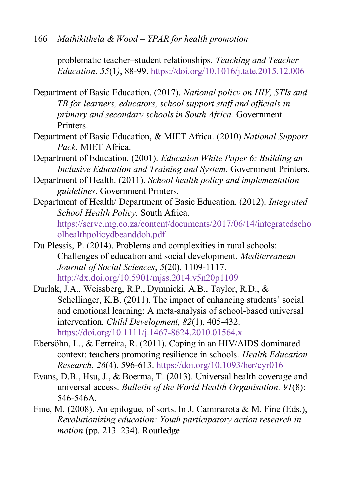problematic teacher–student relationships. *Teaching and Teacher Education*, *55*(1*)*, 88-99. <https://doi.org/10.1016/j.tate.2015.12.006>

- <span id="page-23-6"></span>Department of Basic Education. (2017). *National policy on HIV, STIs and TB for learners, educators, school support staff and officials in primary and secondary schools in South Africa.* Government Printers.
- <span id="page-23-7"></span>Department of Basic Education, & MIET Africa. (2010) *National Support Pack*. MIET Africa.
- <span id="page-23-4"></span>Department of Education. (2001). *Education White Paper 6; Building an Inclusive Education and Training and System*. Government Printers.
- <span id="page-23-5"></span>Department of Health. (2011). *School health policy and implementation guidelines*. Government Printers.
- <span id="page-23-3"></span>Department of Health/ Department of Basic Education. (2012). *Integrated School Health Policy.* South Africa. [https://serve.mg.co.za/content/documents/2017/06/14/integratedscho](https://serve.mg.co.za/content/documents/2017/06/14/integratedschoolhealthpolicydbeanddoh.pdf) [olhealthpolicydbeanddoh.pdf](https://serve.mg.co.za/content/documents/2017/06/14/integratedschoolhealthpolicydbeanddoh.pdf)
- <span id="page-23-0"></span>Du Plessis, P. (2014). Problems and complexities in rural schools: Challenges of education and social development. *Mediterranean Journal of Social Sciences*, *5*(20), 1109-1117. <http://dx.doi.org/10.5901/mjss.2014.v5n20p1109>
- <span id="page-23-8"></span>Durlak, J.A., Weissberg, R.P., Dymnicki, A.B., Taylor, R.D., & Schellinger, K.B. (2011). The impact of enhancing students' social and emotional learning: A meta-analysis of school-based universal intervention. *Child Development, 82*(1), 405-432. <https://doi.org/10.1111/j.1467-8624.2010.01564.x>
- <span id="page-23-1"></span>Ebersöhn, L., & Ferreira, R. (2011). Coping in an HIV/AIDS dominated context: teachers promoting resilience in schools. *Health Education Research*, *26*(4), 596-613. <https://doi.org/10.1093/her/cyr016>
- <span id="page-23-2"></span>Evans, D.B., Hsu, J., & Boerma, T. (2013). Universal health coverage and universal access. *Bulletin of the World Health Organisation, 91*(8): 546-546A.
- <span id="page-23-9"></span>Fine, M. (2008). An epilogue, of sorts. In J. Cammarota & M. Fine (Eds.), *Revolutionizing education: Youth participatory action research in motion* (pp. 213–234). Routledge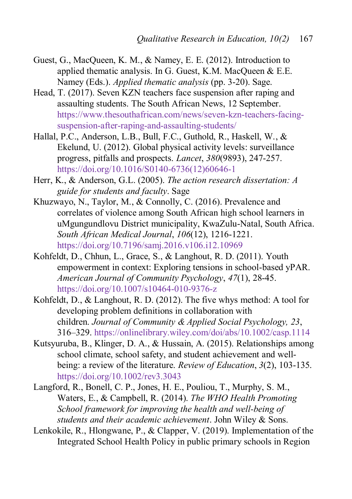- <span id="page-24-7"></span>Guest, G., MacQueen, K. M., & Namey, E. E. (2012). Introduction to applied thematic analysis. In G. Guest, K.M. MacQueen & E.E. Namey (Eds.). *Applied thematic analysis* (pp. 3-20). Sage.
- <span id="page-24-0"></span>Head, T. (2017). Seven KZN teachers face suspension after raping and assaulting students. The South African News, 12 September. [https://www.thesouthafrican.com/news/seven-kzn-teachers-facing](https://www.thesouthafrican.com/news/seven-kzn-teachers-facing-suspension-after-raping-and-assaulting-students/)[suspension-after-raping-and-assaulting-students/](https://www.thesouthafrican.com/news/seven-kzn-teachers-facing-suspension-after-raping-and-assaulting-students/)
- <span id="page-24-5"></span>Hallal, P.C., Anderson, L.B., Bull, F.C., Guthold, R., Haskell, W., & Ekelund, U. (2012). Global physical activity levels: surveillance progress, pitfalls and prospects. *Lancet*, *380*(9893), 247-257. [https://doi.org/10.1016/S0140-6736\(12\)60646-1](https://doi.org/10.1016/S0140-6736(12)60646-1)
- <span id="page-24-8"></span>Herr, K., & Anderson, G.L. (2005). *The action research dissertation: A guide for students and faculty*. Sage
- <span id="page-24-1"></span>Khuzwayo, N., Taylor, M., & Connolly, C. (2016). Prevalence and correlates of violence among South African high school learners in uMgungundlovu District municipality, KwaZulu-Natal, South Africa. *South African Medical Journal*, *106*(12), 1216-1221. https://doi.org/10.7196/samj.2016.v106.i12.10969
- <span id="page-24-2"></span>Kohfeldt, D., Chhun, L., Grace, S., & Langhout, R. D. (2011). Youth empowerment in context: Exploring tensions in school-based yPAR. *American Journal of Community Psychology*, *47*(1), 28-45. <https://doi.org/10.1007/s10464-010-9376-z>
- Kohfeldt, D., & Langhout, R. D. (2012). The five whys method: A tool for developing problem definitions in collaboration with children. *Journal of Community & Applied Social Psychology, 23*, 316–329.<https://onlinelibrary.wiley.com/doi/abs/10.1002/casp.1114>
- <span id="page-24-6"></span>Kutsyuruba, B., Klinger, D. A., & Hussain, A. (2015). Relationships among school climate, school safety, and student achievement and wellbeing: a review of the literature. *Review of Education*, *3*(2), 103-135. https://doi.org/10.1002/rev3.3043
- <span id="page-24-3"></span>Langford, R., Bonell, C. P., Jones, H. E., Pouliou, T., Murphy, S. M., Waters, E., & Campbell, R. (2014). *The WHO Health Promoting School framework for improving the health and well‐being of students and their academic achievement*. John Wiley & Sons.

<span id="page-24-4"></span>Lenkokile, R., Hlongwane, P., & Clapper, V. (2019). Implementation of the Integrated School Health Policy in public primary schools in Region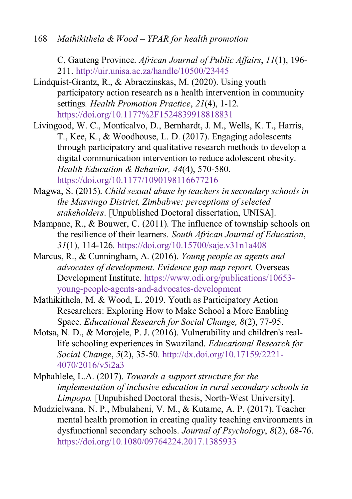168 *Mathikithela & Wood – YPAR for health promotion*

C, Gauteng Province. *African Journal of Public Affairs*, *11*(1), 196- 211. http://uir.unisa.ac.za/handle/10500/23445

- <span id="page-25-6"></span>Lindquist-Grantz, R., & Abraczinskas, M. (2020). Using youth participatory action research as a health intervention in community settings*. Health Promotion Practice*, *21*(4), 1-12. <https://doi.org/10.1177%2F1524839918818831>
- <span id="page-25-7"></span>Livingood, W. C., Monticalvo, D., Bernhardt, J. M., Wells, K. T., Harris, T., Kee, K., & Woodhouse, L. D. (2017). Engaging adolescents through participatory and qualitative research methods to develop a digital communication intervention to reduce adolescent obesity. *Health Education & Behavior, 44*(4), 570-580. https://doi.org/10.1177/1090198116677216
- <span id="page-25-5"></span>Magwa, S. (2015). *Child sexual abuse by teachers in secondary schools in the Masvingo District, Zimbabwe: perceptions of selected stakeholders*. [Unpublished Doctoral dissertation, UNISA].
- <span id="page-25-1"></span>Mampane, R., & Bouwer, C. (2011). The influence of township schools on the resilience of their learners. *South African Journal of Education*, *31*(1), 114-126. https://doi.org/10.15700/saje.v31n1a408
- <span id="page-25-4"></span>Marcus, R., & Cunningham, A. (2016). *Young people as agents and advocates of development. Evidence gap map report.* Overseas Development Institute. [https://www.odi.org/publications/10653](https://www.odi.org/publications/10653-young-people-agents-and-advocates-development) [young-people-agents-and-advocates-development](https://www.odi.org/publications/10653-young-people-agents-and-advocates-development)
- <span id="page-25-2"></span>Mathikithela, M. & Wood, L. 2019. Youth as Participatory Action Researchers: Exploring How to Make School a More Enabling Space. *Educational Research for Social Change, 8*(2), 77-95.
- Motsa, N. D., & Morojele, P. J. (2016). Vulnerability and children's reallife schooling experiences in Swaziland. *Educational Research for Social Change*, *5*(2), 35-50. http://dx.doi.org/10.17159/2221- 4070/2016/v5i2a3
- <span id="page-25-0"></span>Mphahlele, L.A. (2017). *Towards a support structure for the implementation of inclusive education in rural secondary schools in Limpopo.* [Unpubished Doctoral thesis, North-West University].
- <span id="page-25-3"></span>Mudzielwana, N. P., Mbulaheni, V. M., & Kutame, A. P. (2017). Teacher mental health promotion in creating quality teaching environments in dysfunctional secondary schools. *Journal of Psychology*, *8*(2), 68-76. https://doi.org/10.1080/09764224.2017.1385933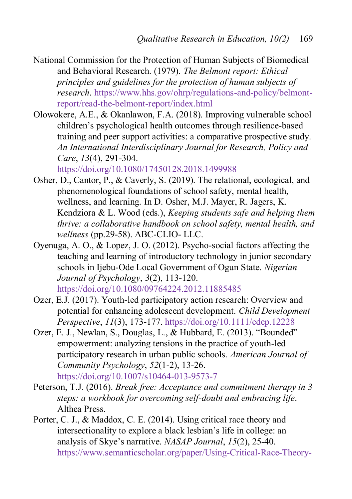- <span id="page-26-2"></span>National Commission for the Protection of Human Subjects of Biomedical and Behavioral Research. (1979). *The Belmont report: Ethical principles and guidelines for the protection of human subjects of research*. [https://www.hhs.gov/ohrp/regulations-and-policy/belmont](https://www.hhs.gov/ohrp/regulations-and-policy/belmont-report/read-the-belmont-report/index.html)[report/read-the-belmont-report/index.html](https://www.hhs.gov/ohrp/regulations-and-policy/belmont-report/read-the-belmont-report/index.html)
- <span id="page-26-7"></span>Olowokere, A.E., & Okanlawon, F.A. (2018). Improving vulnerable school children's psychological health outcomes through resilience-based training and peer support activities: a comparative prospective study. *An International Interdisciplinary Journal for Research, Policy and Care*, *13*(4), 291-304.

https://doi.org/10.1080/17450128.2018.1499988

- <span id="page-26-3"></span>Osher, D., Cantor, P., & Caverly, S. (2019). The relational, ecological, and phenomenological foundations of school safety, mental health, wellness, and learning. In D. Osher, M.J. Mayer, R. Jagers, K. Kendziora & L. Wood (eds.), *Keeping students safe and helping them thrive: a collaborative handbook on school safety, mental health, and wellness* (pp.29-58). ABC-CLIO- LLC.
- <span id="page-26-0"></span>Oyenuga, A. O., & Lopez, J. O. (2012). Psycho-social factors affecting the teaching and learning of introductory technology in junior secondary schools in Ijebu-Ode Local Government of Ogun State. *Nigerian Journal of Psychology*, *3*(2), 113-120. https://doi.org/10.1080/09764224.2012.11885485
- <span id="page-26-6"></span>Ozer, E.J. (2017). Youth-led participatory action research: Overview and potential for enhancing adolescent development. *Child Development Perspective*, *11*(3), 173-177. https://doi.org/10.1111/cdep.12228
- <span id="page-26-5"></span>Ozer, E. J., Newlan, S., Douglas, L., & Hubbard, E. (2013). "Bounded" empowerment: analyzing tensions in the practice of youth-led participatory research in urban public schools. *American Journal of Community Psychology*, *52*(1-2), 13-26. https://doi.org/10.1007/s10464-013-9573-7
- <span id="page-26-1"></span>Peterson, T.J. (2016). *Break free: Acceptance and commitment therapy in 3 steps: a workbook for overcoming self-doubt and embracing life*. Althea Press.
- <span id="page-26-4"></span>Porter, C. J., & Maddox, C. E. (2014). Using critical race theory and intersectionality to explore a black lesbian's life in college: an analysis of Skye's narrative. *NASAP Journal*, *15*(2), 25-40. https://www.semanticscholar.org/paper/Using-Critical-Race-Theory-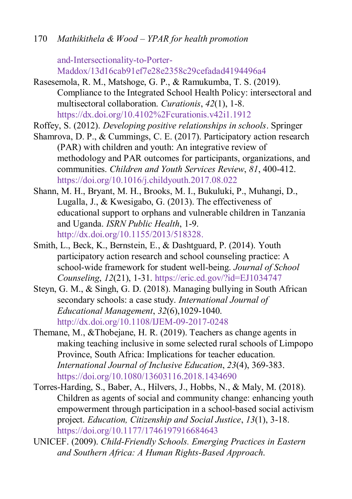170 *Mathikithela & Wood – YPAR for health promotion*

and-Intersectionality-to-Porter-Maddox/13d16cab91ef7e28e2358c29cefadad4194496a4

- <span id="page-27-5"></span>Rasesemola, R. M., Matshoge, G. P., & Ramukumba, T. S. (2019). Compliance to the Integrated School Health Policy: intersectoral and multisectoral collaboration. *Curationis*, *42*(1), 1-8. https://dx.doi.org/10.4102%2Fcurationis.v42i1.1912
- <span id="page-27-6"></span>Roffey, S. (2012). *Developing positive relationships in schools*. Springer
- <span id="page-27-7"></span>Shamrova, D. P., & Cummings, C. E. (2017). Participatory action research (PAR) with children and youth: An integrative review of methodology and PAR outcomes for participants, organizations, and communities. *Children and Youth Services Review*, *81*, 400-412. https://doi.org/10.1016/j.childyouth.2017.08.022
- <span id="page-27-2"></span>Shann, M. H., Bryant, M. H., Brooks, M. I., Bukuluki, P., Muhangi, D., Lugalla, J., & Kwesigabo, G. (2013). The effectiveness of educational support to orphans and vulnerable children in Tanzania and Uganda. *ISRN Public Health*, 1-9. [http://dx.doi.org/10.1155/2013/518328.](http://dx.doi.org/10.1155/2013/518328)
- <span id="page-27-8"></span>Smith, L., Beck, K., Bernstein, E., & Dashtguard, P. (2014). Youth participatory action research and school counseling practice: A school-wide framework for student well-being. *Journal of School Counseling*, *12*(21), 1-31. https://eric.ed.gov/?id=EJ1034747
- <span id="page-27-0"></span>Steyn, G. M., & Singh, G. D. (2018). Managing bullying in South African secondary schools: a case study. *International Journal of Educational Management*, *32*(6),1029-1040. http://dx.doi.org/10.1108/IJEM-09-2017-0248
- <span id="page-27-1"></span>Themane, M., &Thobejane, H. R. (2019). Teachers as change agents in making teaching inclusive in some selected rural schools of Limpopo Province, South Africa: Implications for teacher education. *International Journal of Inclusive Education*, *23*(4), 369-383. https://doi.org/10.1080/13603116.2018.1434690
- <span id="page-27-3"></span>Torres-Harding, S., Baber, A., Hilvers, J., Hobbs, N., & Maly, M. (2018). Children as agents of social and community change: enhancing youth empowerment through participation in a school-based social activism project. *Education, Citizenship and Social Justice*, *13*(1), 3-18. [https://doi.org/10.1177/1746197916684643](https://doi.org/10.1177%2F1746197916684643)
- <span id="page-27-4"></span>UNICEF. (2009). *Child-Friendly Schools. Emerging Practices in Eastern and Southern Africa: A Human Rights-Based Approach*.